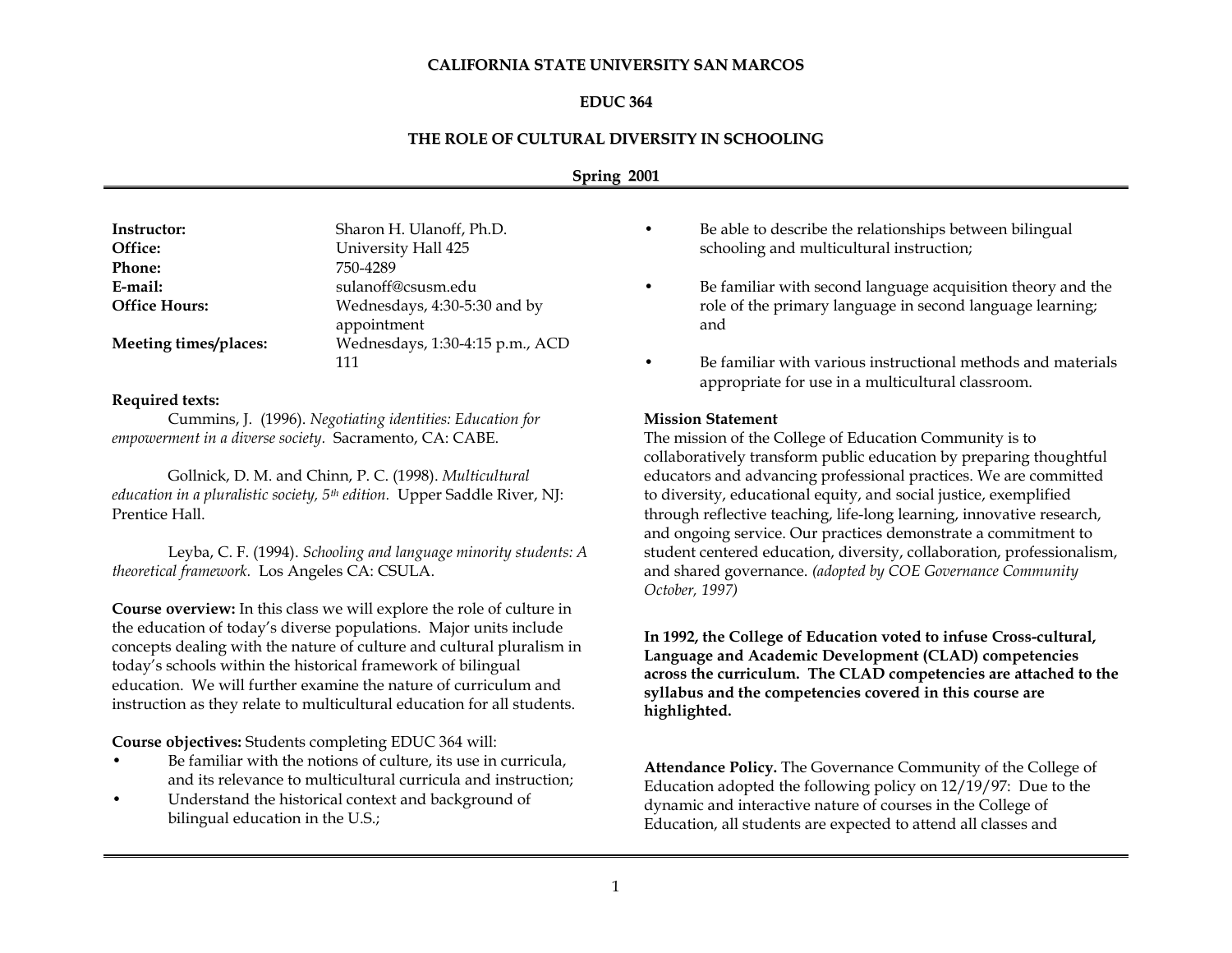#### **CALIFORNIA STATE UNIVERSITY SAN MARCOS**

### **EDUC 364**

### **THE ROLE OF CULTURAL DIVERSITY IN SCHOOLING**

# **Spring 2001**

| Instructor:           | Sharon H. Ulanoff, Ph.D.        |
|-----------------------|---------------------------------|
| Office:               | University Hall 425             |
| <b>Phone:</b>         | 750-4289                        |
| E-mail:               | sulanoff@csusm.edu              |
| <b>Office Hours:</b>  | Wednesdays, 4:30-5:30 and by    |
|                       | appointment                     |
| Meeting times/places: | Wednesdays, 1:30-4:15 p.m., ACD |
|                       | 111                             |

#### **Required texts:**

Cummins, J. (1996). *Negotiating identities: Education for empowerment in a diverse society.* Sacramento, CA: CABE.

Gollnick, D. M. and Chinn, P. C. (1998). *Multicultural education in a pluralistic society, 5th edition.* Upper Saddle River, NJ: Prentice Hall.

Leyba, C. F. (1994). *Schooling and language minority students: A theoretical framework.* Los Angeles CA: CSULA.

**Course overview:** In this class we will explore the role of culture in the education of today's diverse populations. Major units include concepts dealing with the nature of culture and cultural pluralism in today's schools within the historical framework of bilingual education. We will further examine the nature of curriculum and instruction as they relate to multicultural education for all students.

**Course objectives:** Students completing EDUC 364 will:

- Be familiar with the notions of culture, its use in curricula, and its relevance to multicultural curricula and instruction;
- Understand the historical context and background of bilingual education in the U.S.;
- Be able to describe the relationships between bilingual schooling and multicultural instruction;
- Be familiar with second language acquisition theory and the role of the primary language in second language learning; and
- Be familiar with various instructional methods and materials appropriate for use in a multicultural classroom.

#### **Mission Statement**

The mission of the College of Education Community is to collaboratively transform public education by preparing thoughtful educators and advancing professional practices. We are committed to diversity, educational equity, and social justice, exemplified through reflective teaching, life-long learning, innovative research, and ongoing service. Our practices demonstrate a commitment to student centered education, diversity, collaboration, professionalism, and shared governance. *(adopted by COE Governance Community October, 1997)*

**In 1992, the College of Education voted to infuse Cross-cultural, Language and Academic Development (CLAD) competencies across the curriculum. The CLAD competencies are attached to the syllabus and the competencies covered in this course are highlighted.**

**Attendance Policy.** The Governance Community of the College of Education adopted the following policy on 12/19/97: Due to the dynamic and interactive nature of courses in the College of Education, all students are expected to attend all classes and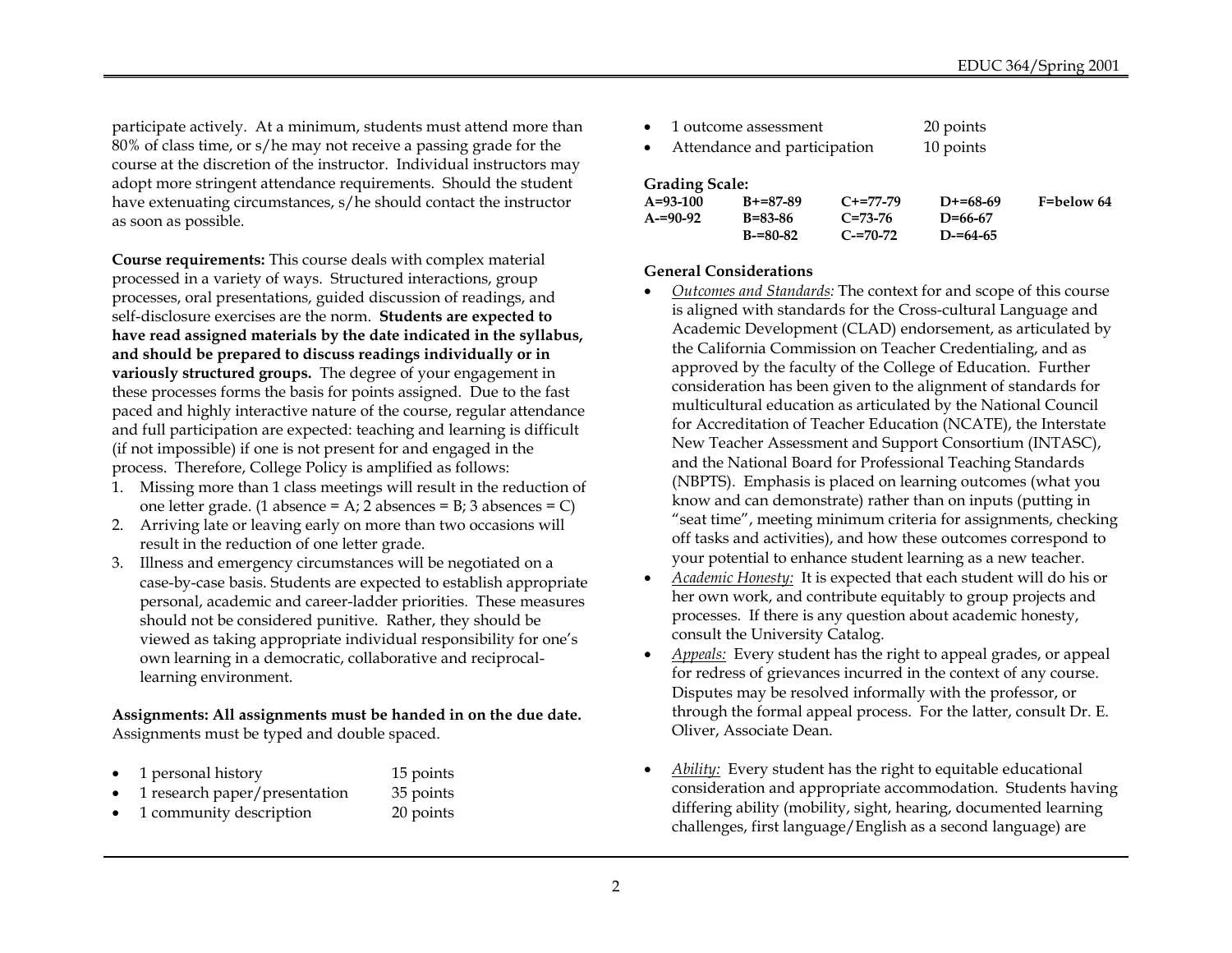participate actively. At a minimum, students must attend more than 80% of class time, or s/he may not receive a passing grade for the course at the discretion of the instructor. Individual instructors may adopt more stringent attendance requirements. Should the student have extenuating circumstances, s/he should contact the instructor as soon as possible.

**Course requirements:** This course deals with complex material processed in a variety of ways. Structured interactions, group processes, oral presentations, guided discussion of readings, and self-disclosure exercises are the norm. **Students are expected to have read assigned materials by the date indicated in the syllabus, and should be prepared to discuss readings individually or in variously structured groups.** The degree of your engagement in these processes forms the basis for points assigned. Due to the fast paced and highly interactive nature of the course, regular attendance and full participation are expected: teaching and learning is difficult (if not impossible) if one is not present for and engaged in the process. Therefore, College Policy is amplified as follows:

- 1. Missing more than 1 class meetings will result in the reduction of one letter grade. (1 absence =  $A$ ; 2 absences =  $B$ ; 3 absences =  $C$ )
- 2. Arriving late or leaving early on more than two occasions will result in the reduction of one letter grade.
- 3. Illness and emergency circumstances will be negotiated on a case-by-case basis. Students are expected to establish appropriate personal, academic and career-ladder priorities. These measures should not be considered punitive. Rather, they should be viewed as taking appropriate individual responsibility for one's own learning in a democratic, collaborative and reciprocallearning environment.

**Assignments: All assignments must be handed in on the due date.** Assignments must be typed and double spaced.

|  | 1 personal history | 15 points |
|--|--------------------|-----------|
|--|--------------------|-----------|

- 1 research paper/presentation 35 points
- 1 community description 20 points

| $\bullet$ | 1 outcome assessment         | 20 points |
|-----------|------------------------------|-----------|
|           | Attendance and participation | 10 points |

# **Grading Scale:**

| $A = 93 - 100$ | $B + = 87 - 89$ | $C+=77-79$  | $D+=68-69$    | F=below 64 |
|----------------|-----------------|-------------|---------------|------------|
| $A = 90 - 92$  | B=83-86         | $C = 73-76$ | $D = 66 - 67$ |            |
|                | $B = 80 - 82$   | $C = 70-72$ | $D = 64 - 65$ |            |

## **General Considerations**

- *Outcomes and Standards:* The context for and scope of this course is aligned with standards for the Cross-cultural Language and Academic Development (CLAD) endorsement, as articulated by the California Commission on Teacher Credentialing, and as approved by the faculty of the College of Education. Further consideration has been given to the alignment of standards for multicultural education as articulated by the National Council for Accreditation of Teacher Education (NCATE), the Interstate New Teacher Assessment and Support Consortium (INTASC), and the National Board for Professional Teaching Standards (NBPTS). Emphasis is placed on learning outcomes (what you know and can demonstrate) rather than on inputs (putting in "seat time", meeting minimum criteria for assignments, checking off tasks and activities), and how these outcomes correspond to your potential to enhance student learning as a new teacher.
- *Academic Honesty:* It is expected that each student will do his or her own work, and contribute equitably to group projects and processes. If there is any question about academic honesty, consult the University Catalog.
- *Appeals:* Every student has the right to appeal grades, or appeal for redress of grievances incurred in the context of any course. Disputes may be resolved informally with the professor, or through the formal appeal process. For the latter, consult Dr. E. Oliver, Associate Dean.
- *Ability:* Every student has the right to equitable educational consideration and appropriate accommodation. Students having differing ability (mobility, sight, hearing, documented learning challenges, first language/English as a second language) are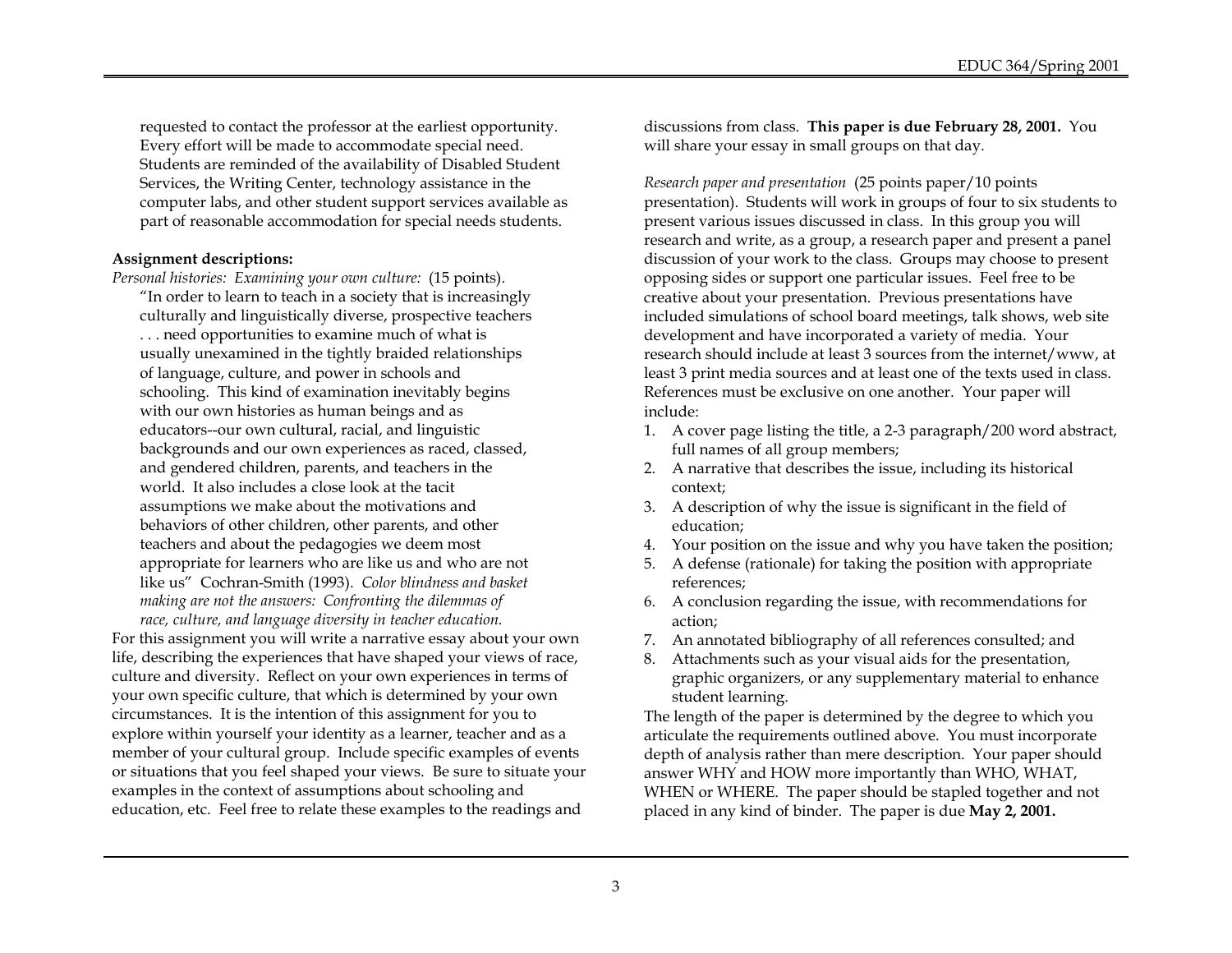requested to contact the professor at the earliest opportunity. Every effort will be made to accommodate special need. Students are reminded of the availability of Disabled Student Services, the Writing Center, technology assistance in the computer labs, and other student support services available as part of reasonable accommodation for special needs students.

#### **Assignment descriptions:**

*Personal histories: Examining your own culture:* (15 points).

"In order to learn to teach in a society that is increasingly culturally and linguistically diverse, prospective teachers . . . need opportunities to examine much of what is usually unexamined in the tightly braided relationships of language, culture, and power in schools and schooling. This kind of examination inevitably begins with our own histories as human beings and as educators--our own cultural, racial, and linguistic backgrounds and our own experiences as raced, classed, and gendered children, parents, and teachers in the world. It also includes a close look at the tacit assumptions we make about the motivations and behaviors of other children, other parents, and other teachers and about the pedagogies we deem most appropriate for learners who are like us and who are not like us" Cochran-Smith (1993). *Color blindness and basket making are not the answers: Confronting the dilemmas of* 

*race, culture, and language diversity in teacher education.*  For this assignment you will write a narrative essay about your own life, describing the experiences that have shaped your views of race, culture and diversity. Reflect on your own experiences in terms of your own specific culture, that which is determined by your own circumstances. It is the intention of this assignment for you to explore within yourself your identity as a learner, teacher and as a member of your cultural group. Include specific examples of events or situations that you feel shaped your views. Be sure to situate your examples in the context of assumptions about schooling and education, etc. Feel free to relate these examples to the readings and

discussions from class. **This paper is due February 28, 2001.** You will share your essay in small groups on that day.

*Research paper and presentation* (25 points paper/10 points presentation). Students will work in groups of four to six students to present various issues discussed in class. In this group you will research and write, as a group, a research paper and present a panel discussion of your work to the class. Groups may choose to present opposing sides or support one particular issues. Feel free to be creative about your presentation. Previous presentations have included simulations of school board meetings, talk shows, web site development and have incorporated a variety of media. Your research should include at least 3 sources from the internet/www, at least 3 print media sources and at least one of the texts used in class. References must be exclusive on one another. Your paper will include:

- 1. A cover page listing the title, a 2-3 paragraph/200 word abstract, full names of all group members;
- 2. A narrative that describes the issue, including its historical context;
- 3. A description of why the issue is significant in the field of education;
- 4. Your position on the issue and why you have taken the position;
- 5. A defense (rationale) for taking the position with appropriate references;
- 6. A conclusion regarding the issue, with recommendations for action;
- 7. An annotated bibliography of all references consulted; and
- Attachments such as your visual aids for the presentation, graphic organizers, or any supplementary material to enhance student learning.

The length of the paper is determined by the degree to which you articulate the requirements outlined above. You must incorporate depth of analysis rather than mere description. Your paper should answer WHY and HOW more importantly than WHO, WHAT, WHEN or WHERE. The paper should be stapled together and not placed in any kind of binder. The paper is due **May 2, 2001.**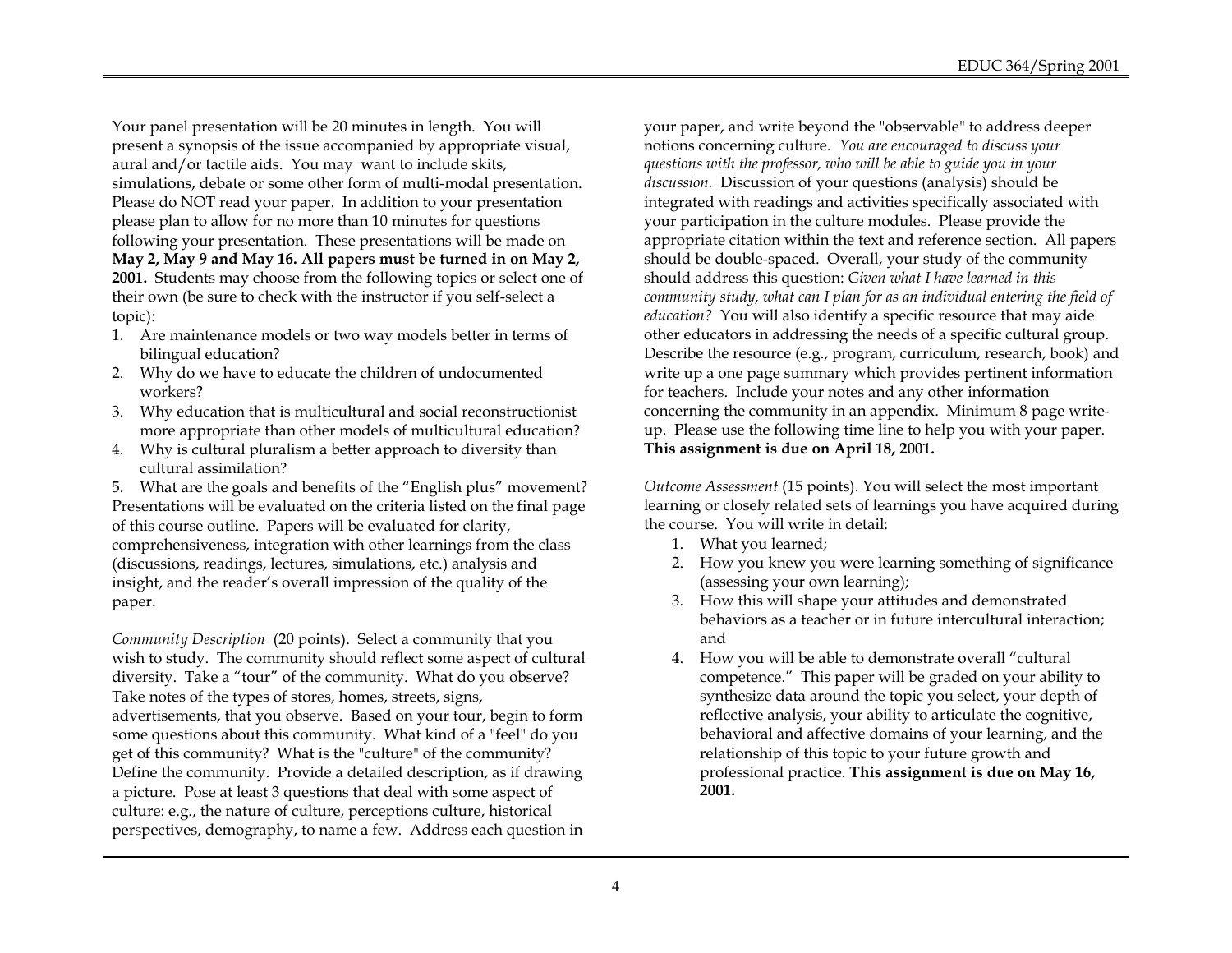Your panel presentation will be 20 minutes in length. You will present a synopsis of the issue accompanied by appropriate visual, aural and/or tactile aids. You may want to include skits, simulations, debate or some other form of multi-modal presentation. Please do NOT read your paper. In addition to your presentation please plan to allow for no more than 10 minutes for questions following your presentation. These presentations will be made on **May 2, May 9 and May 16. All papers must be turned in on May 2, 2001.** Students may choose from the following topics or select one of their own (be sure to check with the instructor if you self-select a topic):

- 1. Are maintenance models or two way models better in terms of bilingual education?
- 2. Why do we have to educate the children of undocumented workers?
- 3. Why education that is multicultural and social reconstructionist more appropriate than other models of multicultural education?
- 4. Why is cultural pluralism a better approach to diversity than cultural assimilation?

5. What are the goals and benefits of the "English plus" movement? Presentations will be evaluated on the criteria listed on the final page of this course outline. Papers will be evaluated for clarity, comprehensiveness, integration with other learnings from the class (discussions, readings, lectures, simulations, etc.) analysis and insight, and the reader's overall impression of the quality of the paper.

*Community Description* (20 points). Select a community that you wish to study. The community should reflect some aspect of cultural diversity. Take a "tour" of the community. What do you observe? Take notes of the types of stores, homes, streets, signs, advertisements, that you observe. Based on your tour, begin to form some questions about this community. What kind of a "feel" do you get of this community? What is the "culture" of the community? Define the community. Provide a detailed description, as if drawing a picture. Pose at least 3 questions that deal with some aspect of culture: e.g., the nature of culture, perceptions culture, historical perspectives, demography, to name a few. Address each question in

your paper, and write beyond the "observable" to address deeper notions concerning culture. *You are encouraged to discuss your questions with the professor, who will be able to guide you in your discussion.* Discussion of your questions (analysis) should be integrated with readings and activities specifically associated with your participation in the culture modules. Please provide the appropriate citation within the text and reference section. All papers should be double-spaced. Overall, your study of the community should address this question: *Given what I have learned in this community study, what can I plan for as an individual entering the field of education?* You will also identify a specific resource that may aide other educators in addressing the needs of a specific cultural group. Describe the resource (e.g., program, curriculum, research, book) and write up a one page summary which provides pertinent information for teachers. Include your notes and any other information concerning the community in an appendix. Minimum 8 page writeup. Please use the following time line to help you with your paper. **This assignment is due on April 18, 2001.**

*Outcome Assessment* (15 points). You will select the most important learning or closely related sets of learnings you have acquired during the course. You will write in detail:

- 1. What you learned;
- 2. How you knew you were learning something of significance (assessing your own learning);
- 3. How this will shape your attitudes and demonstrated behaviors as a teacher or in future intercultural interaction; and
- 4. How you will be able to demonstrate overall "cultural competence." This paper will be graded on your ability to synthesize data around the topic you select, your depth of reflective analysis, your ability to articulate the cognitive, behavioral and affective domains of your learning, and the relationship of this topic to your future growth and professional practice. **This assignment is due on May 16, 2001.**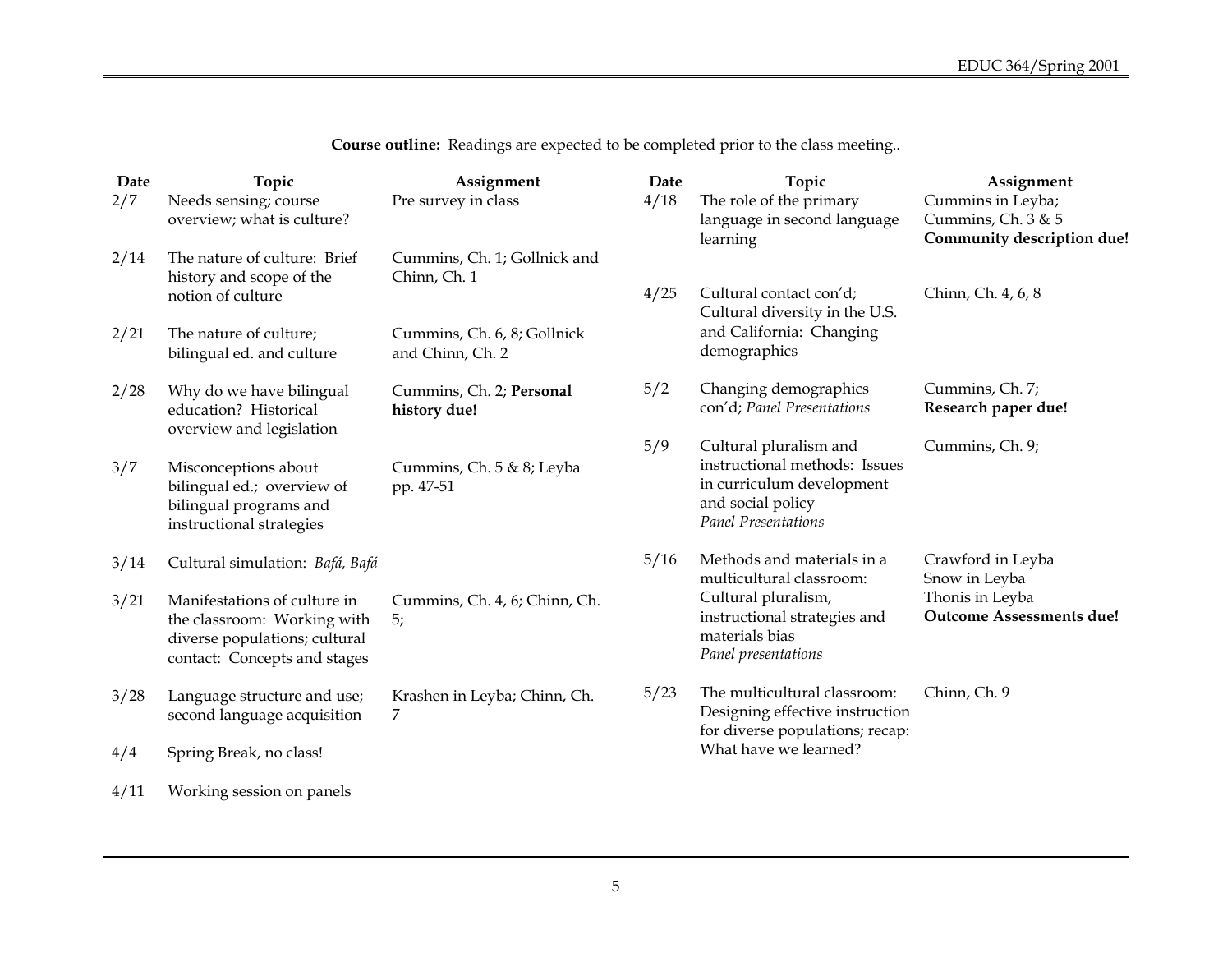| Date<br>2/7 | Topic<br>Needs sensing; course                                                                                               | Assignment<br>Pre survey in class               | Date<br>4/18 | Topic<br>The role of the primary                                                                                                        | Assignment<br>Cummins in Leyba;                    |  |
|-------------|------------------------------------------------------------------------------------------------------------------------------|-------------------------------------------------|--------------|-----------------------------------------------------------------------------------------------------------------------------------------|----------------------------------------------------|--|
|             | overview; what is culture?                                                                                                   |                                                 |              | language in second language<br>learning                                                                                                 | Cummins, Ch. 3 & 5<br>Community description due!   |  |
| 2/14        | The nature of culture: Brief<br>history and scope of the                                                                     | Cummins, Ch. 1; Gollnick and<br>Chinn, Ch. 1    |              |                                                                                                                                         |                                                    |  |
|             | notion of culture                                                                                                            |                                                 | 4/25         | Cultural contact con'd;<br>Cultural diversity in the U.S.                                                                               | Chinn, Ch. 4, 6, 8                                 |  |
| 2/21        | The nature of culture;<br>bilingual ed. and culture                                                                          | Cummins, Ch. 6, 8; Gollnick<br>and Chinn, Ch. 2 |              | and California: Changing<br>demographics                                                                                                |                                                    |  |
| 2/28        | Why do we have bilingual<br>education? Historical<br>overview and legislation                                                | Cummins, Ch. 2; Personal<br>history due!        | 5/2          | Changing demographics<br>con'd; Panel Presentations                                                                                     | Cummins, Ch. 7;<br>Research paper due!             |  |
| 3/7         | Misconceptions about<br>bilingual ed.; overview of<br>bilingual programs and<br>instructional strategies                     | Cummins, Ch. 5 & 8; Leyba<br>pp. 47-51          | 5/9          | Cultural pluralism and<br>instructional methods: Issues<br>in curriculum development<br>and social policy<br><b>Panel Presentations</b> | Cummins, Ch. 9;                                    |  |
| 3/14        | Cultural simulation: Bafá, Bafá                                                                                              |                                                 | 5/16         | Methods and materials in a<br>multicultural classroom:                                                                                  | Crawford in Leyba<br>Snow in Leyba                 |  |
| 3/21        | Manifestations of culture in<br>the classroom: Working with<br>diverse populations; cultural<br>contact: Concepts and stages | Cummins, Ch. 4, 6; Chinn, Ch.<br>5;             |              | Cultural pluralism,<br>instructional strategies and<br>materials bias<br>Panel presentations                                            | Thonis in Leyba<br><b>Outcome Assessments due!</b> |  |
| 3/28        | Language structure and use;<br>second language acquisition                                                                   | Krashen in Leyba; Chinn, Ch.<br>7               | 5/23         | The multicultural classroom:<br>Designing effective instruction<br>for diverse populations; recap:                                      | Chinn, Ch. 9                                       |  |
| 4/4         | Spring Break, no class!                                                                                                      |                                                 |              | What have we learned?                                                                                                                   |                                                    |  |

**Course outline:** Readings are expected to be completed prior to the class meeting.*.*

4/11 Working session on panels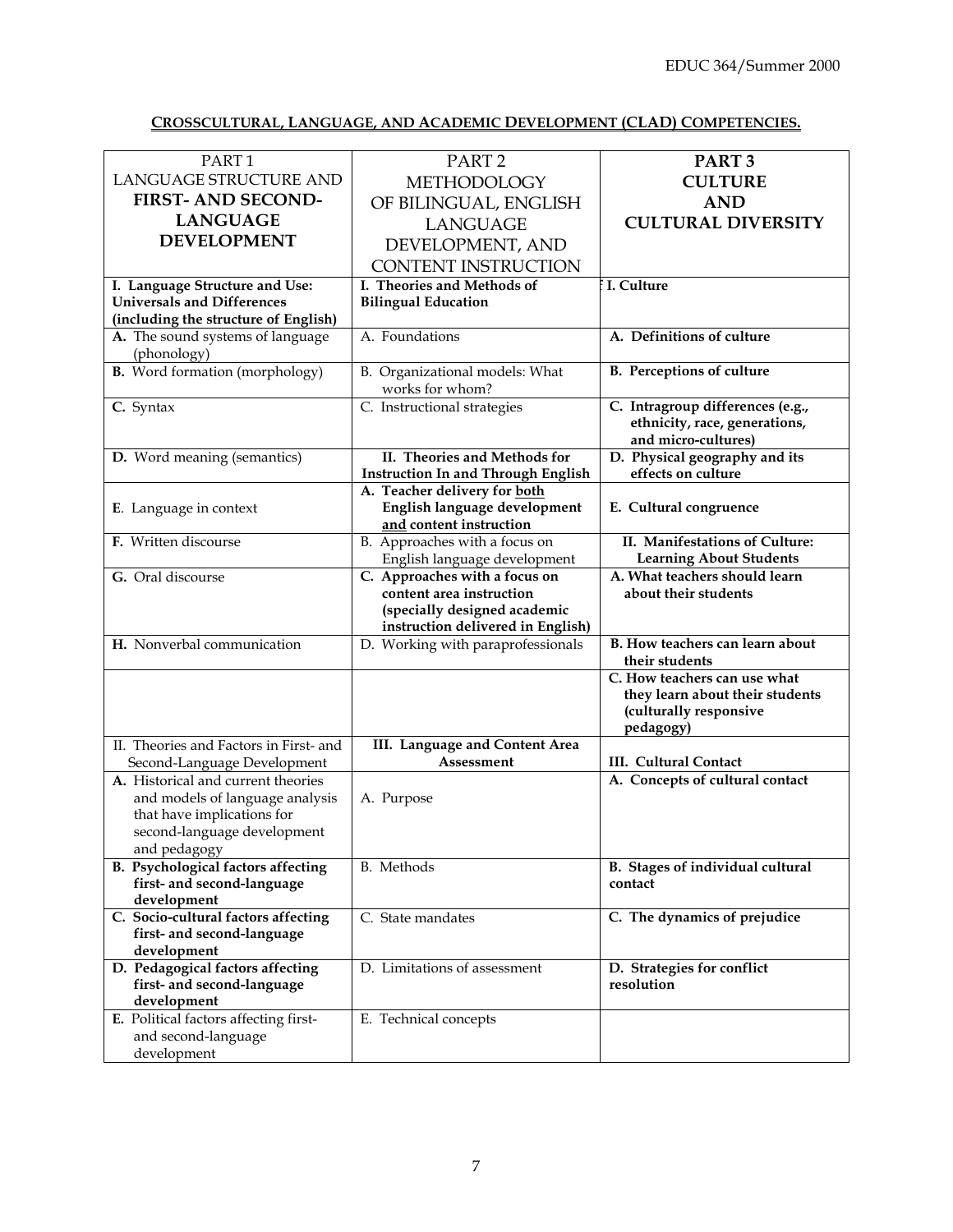# **CROSSCULTURAL, LANGUAGE, AND ACADEMIC DEVELOPMENT (CLAD) COMPETENCIES.**

| PART <sub>1</sub>                      | PART <sub>2</sub>                         | PART <sub>3</sub>                      |
|----------------------------------------|-------------------------------------------|----------------------------------------|
| LANGUAGE STRUCTURE AND                 | <b>METHODOLOGY</b>                        | <b>CULTURE</b>                         |
| <b>FIRST-AND SECOND-</b>               | OF BILINGUAL, ENGLISH                     | <b>AND</b>                             |
| <b>LANGUAGE</b>                        |                                           | <b>CULTURAL DIVERSITY</b>              |
| <b>DEVELOPMENT</b>                     | <b>LANGUAGE</b>                           |                                        |
|                                        | DEVELOPMENT, AND                          |                                        |
|                                        | <b>CONTENT INSTRUCTION</b>                |                                        |
| I. Language Structure and Use:         | I. Theories and Methods of                | I. Culture                             |
| <b>Universals and Differences</b>      | <b>Bilingual Education</b>                |                                        |
| (including the structure of English)   |                                           |                                        |
| A. The sound systems of language       | A. Foundations                            | A. Definitions of culture              |
| (phonology)                            |                                           |                                        |
| <b>B.</b> Word formation (morphology)  | B. Organizational models: What            | <b>B.</b> Perceptions of culture       |
|                                        | works for whom?                           |                                        |
| C. Syntax                              | C. Instructional strategies               | C. Intragroup differences (e.g.,       |
|                                        |                                           | ethnicity, race, generations,          |
|                                        |                                           | and micro-cultures)                    |
| D. Word meaning (semantics)            | II. Theories and Methods for              | D. Physical geography and its          |
|                                        | <b>Instruction In and Through English</b> | effects on culture                     |
|                                        | A. Teacher delivery for both              |                                        |
| E. Language in context                 | English language development              | E. Cultural congruence                 |
|                                        | and content instruction                   |                                        |
| F. Written discourse                   | B. Approaches with a focus on             | II. Manifestations of Culture:         |
|                                        | English language development              | <b>Learning About Students</b>         |
| G. Oral discourse                      | C. Approaches with a focus on             | A. What teachers should learn          |
|                                        | content area instruction                  | about their students                   |
|                                        | (specially designed academic              |                                        |
|                                        | instruction delivered in English)         |                                        |
| H. Nonverbal communication             | D. Working with paraprofessionals         | <b>B.</b> How teachers can learn about |
|                                        |                                           | their students                         |
|                                        |                                           | C. How teachers can use what           |
|                                        |                                           | they learn about their students        |
|                                        |                                           | (culturally responsive                 |
|                                        |                                           | pedagogy)                              |
| II. Theories and Factors in First- and | III. Language and Content Area            |                                        |
| Second-Language Development            | Assessment                                | <b>III.</b> Cultural Contact           |
| A. Historical and current theories     |                                           | A. Concepts of cultural contact        |
| and models of language analysis        | A. Purpose                                |                                        |
| that have implications for             |                                           |                                        |
| second-language development            |                                           |                                        |
| and pedagogy                           |                                           |                                        |
| B. Psychological factors affecting     | B. Methods                                | B. Stages of individual cultural       |
| first- and second-language             |                                           | contact                                |
| development                            |                                           |                                        |
| C. Socio-cultural factors affecting    | C. State mandates                         | C. The dynamics of prejudice           |
| first- and second-language             |                                           |                                        |
| development                            |                                           |                                        |
| D. Pedagogical factors affecting       | D. Limitations of assessment              | D. Strategies for conflict             |
| first- and second-language             |                                           | resolution                             |
| development                            |                                           |                                        |
| E. Political factors affecting first-  | E. Technical concepts                     |                                        |
| and second-language                    |                                           |                                        |
| development                            |                                           |                                        |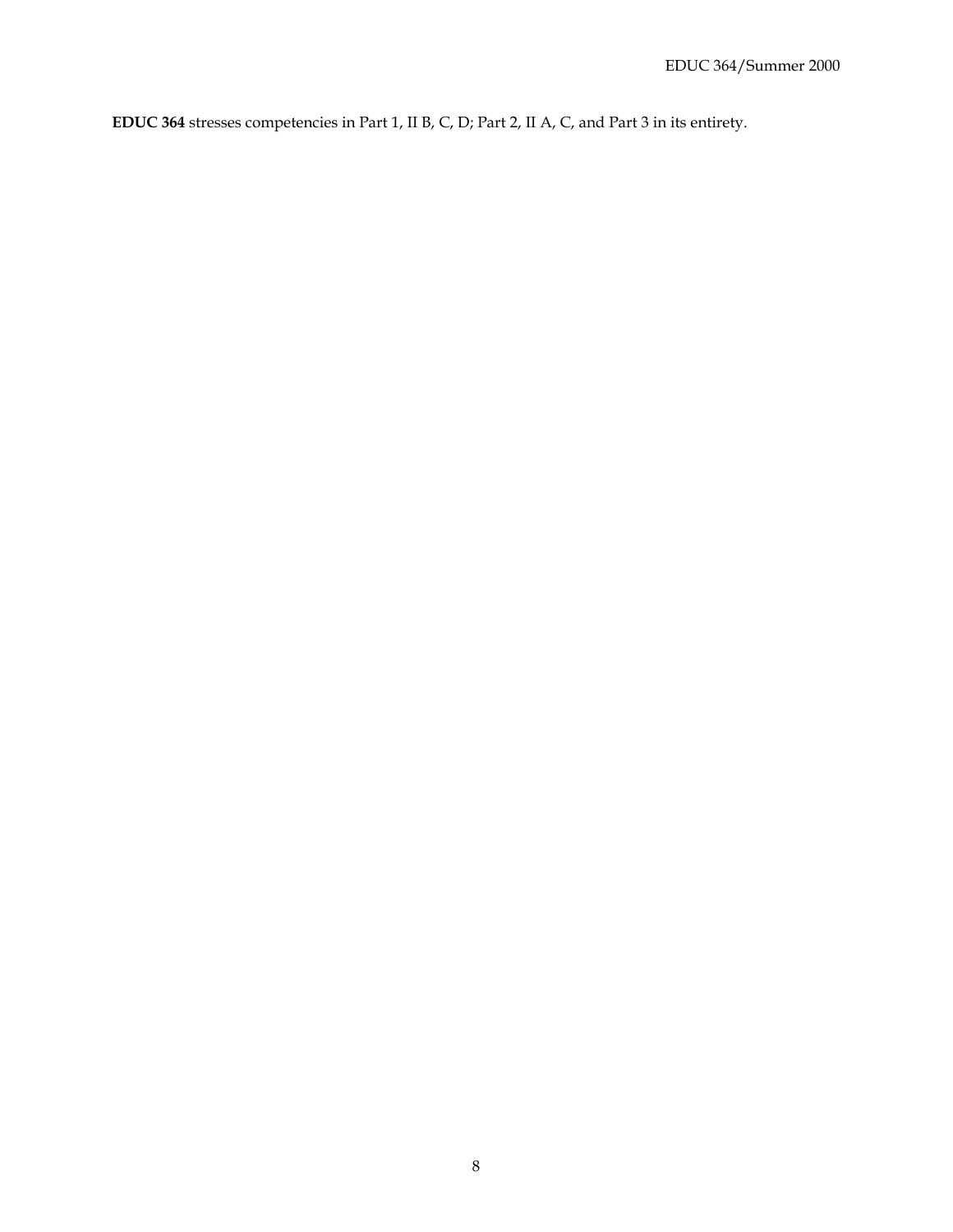**EDUC 364** stresses competencies in Part 1, II B, C, D; Part 2, II A, C, and Part 3 in its entirety.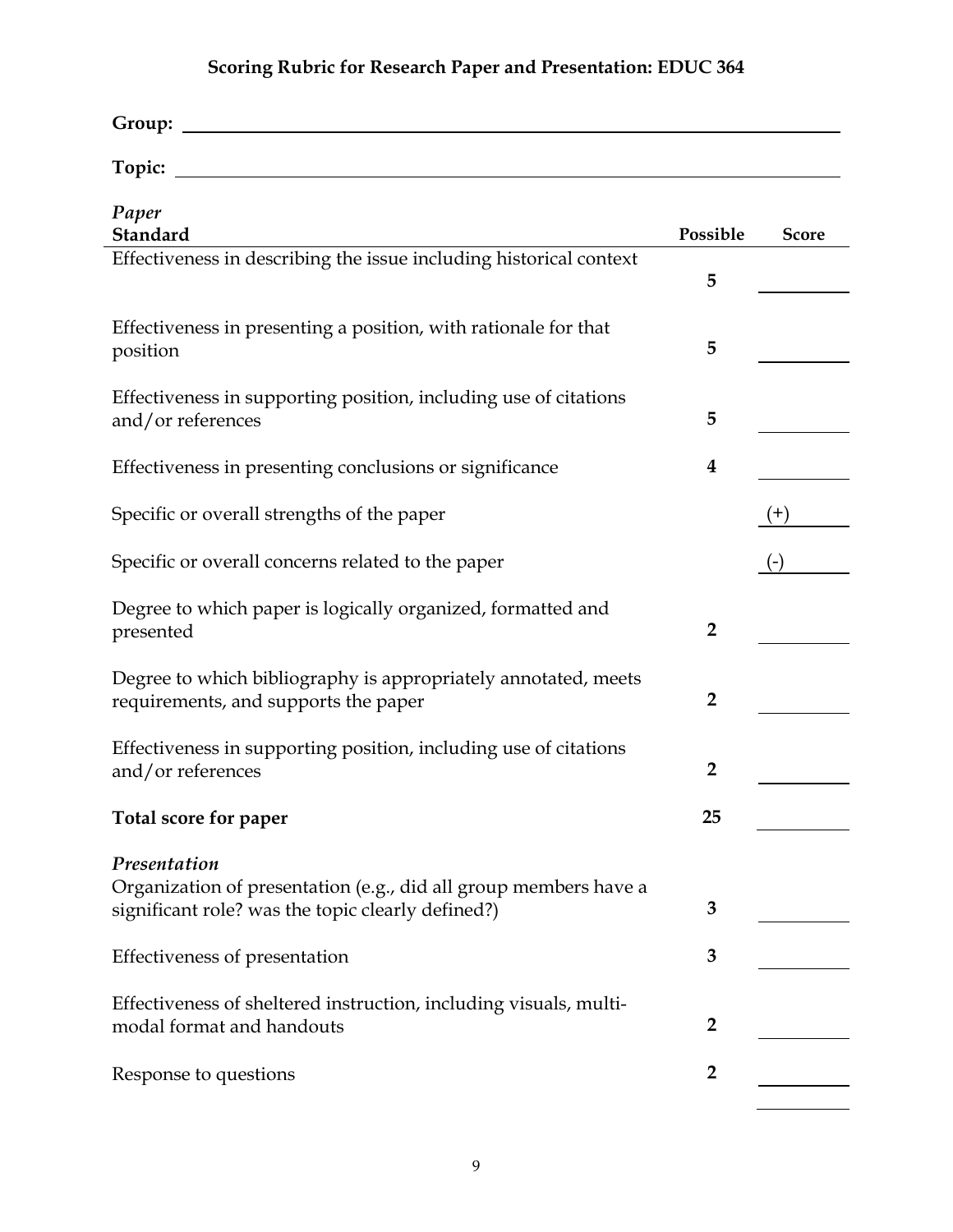# **Scoring Rubric for Research Paper and Presentation: EDUC 364**

| Group: |  |  |
|--------|--|--|
|        |  |  |
| Topic: |  |  |
|        |  |  |

| Paper                                                              |                |              |
|--------------------------------------------------------------------|----------------|--------------|
| Standard                                                           | Possible       | <b>Score</b> |
| Effectiveness in describing the issue including historical context | 5              |              |
|                                                                    |                |              |
| Effectiveness in presenting a position, with rationale for that    |                |              |
| position                                                           | 5              |              |
|                                                                    |                |              |
| Effectiveness in supporting position, including use of citations   |                |              |
| and/or references                                                  | 5              |              |
| Effectiveness in presenting conclusions or significance            | 4              |              |
|                                                                    |                |              |
| Specific or overall strengths of the paper                         |                | $(+)$        |
|                                                                    |                |              |
| Specific or overall concerns related to the paper                  |                | $(-)$        |
|                                                                    |                |              |
| Degree to which paper is logically organized, formatted and        |                |              |
| presented                                                          | $\overline{2}$ |              |
| Degree to which bibliography is appropriately annotated, meets     |                |              |
| requirements, and supports the paper                               | $\overline{2}$ |              |
|                                                                    |                |              |
| Effectiveness in supporting position, including use of citations   |                |              |
| and/or references                                                  | $\overline{2}$ |              |
|                                                                    |                |              |
| Total score for paper                                              | 25             |              |
| Presentation                                                       |                |              |
| Organization of presentation (e.g., did all group members have a   |                |              |
| significant role? was the topic clearly defined?)                  | 3              |              |
|                                                                    |                |              |
| Effectiveness of presentation                                      | 3              |              |
|                                                                    |                |              |
| Effectiveness of sheltered instruction, including visuals, multi-  | $\overline{2}$ |              |
| modal format and handouts                                          |                |              |
| Response to questions                                              | $\overline{2}$ |              |
|                                                                    |                |              |
|                                                                    |                |              |